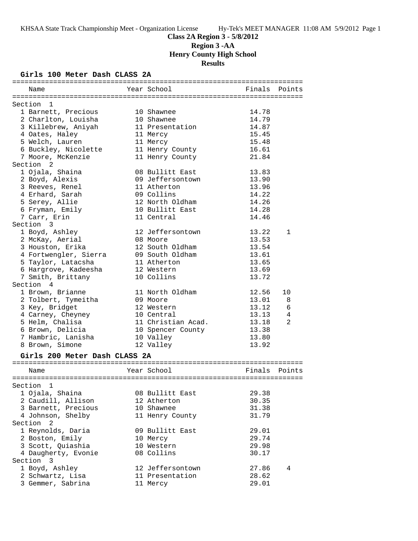# **Class 2A Region 3 - 5/8/2012 Region 3 -AA Henry County High School Results**

## **Girls 100 Meter Dash CLASS 2A**

| Name                                      | Year School        | Finals         | Points |
|-------------------------------------------|--------------------|----------------|--------|
|                                           |                    |                |        |
| Section 1                                 |                    |                |        |
| 1 Barnett, Precious                       | 10 Shawnee         | 14.78          |        |
| 2 Charlton, Louisha                       | 10 Shawnee         | 14.79          |        |
| 3 Killebrew, Aniyah                       | 11 Presentation    | 14.87          |        |
| 4 Oates, Haley                            | 11 Mercy           | 15.45          |        |
| 5 Welch, Lauren                           | 11 Mercy           | 15.48          |        |
| 6 Buckley, Nicolette                      | 11 Henry County    | 16.61<br>21.84 |        |
| 7 Moore, McKenzie<br>Section <sub>2</sub> | 11 Henry County    |                |        |
| 1 Ojala, Shaina                           | 08 Bullitt East    | 13.83          |        |
| 2 Boyd, Alexis                            | 09 Jeffersontown   | 13.90          |        |
|                                           | 11 Atherton        |                |        |
| 3 Reeves, Renel                           | 09 Collins         | 13.96<br>14.22 |        |
| 4 Erhard, Sarah                           | 12 North Oldham    | 14.26          |        |
| 5 Serey, Allie                            | 10 Bullitt East    |                |        |
| 6 Fryman, Emily<br>7 Carr, Erin           | 11 Central         | 14.28<br>14.46 |        |
| Section 3                                 |                    |                |        |
|                                           |                    |                |        |
| 1 Boyd, Ashley                            | 12 Jeffersontown   | 13.22          | 1      |
| 2 McKay, Aerial                           | 08 Moore           | 13.53          |        |
| 3 Houston, Erika                          | 12 South Oldham    | 13.54          |        |
| 4 Fortwengler, Sierra                     | 09 South Oldham    | 13.61          |        |
| 5 Taylor, Latacsha                        | 11 Atherton        | 13.65          |        |
| 6 Hargrove, Kadeesha                      | 12 Western         | 13.69          |        |
| 7 Smith, Brittany                         | 10 Collins         | 13.72          |        |
| Section 4                                 |                    |                |        |
| 1 Brown, Brianne                          | 11 North Oldham    | 12.56          | 10     |
| 2 Tolbert, Tymeitha                       | 09 Moore           | 13.01          | 8      |
| 3 Key, Bridget                            | 12 Western         | 13.12          | 6      |
| 4 Carney, Cheyney                         | 10 Central         | 13.13          | 4      |
| 5 Helm, Chalisa                           | 11 Christian Acad. | 13.18          | 2      |
| 6 Brown, Delicia                          | 10 Spencer County  | 13.38          |        |
| 7 Hambric, Lanisha                        | 10 Valley          | 13.80          |        |
| 8 Brown, Simone                           | 12 Valley          | 13.92          |        |
| Girls 200 Meter Dash CLASS 2A             |                    |                |        |
|                                           |                    |                |        |
| Name                                      | Year School        | Finals         | Points |
|                                           |                    |                |        |
| Section 1                                 |                    |                |        |
| 1 Ojala, Shaina                           | 08 Bullitt East    | 29.38          |        |
| 2 Caudill, Allison                        | 12 Atherton        | 30.35          |        |
| 3 Barnett, Precious                       | 10 Shawnee         | 31.38          |        |
| 4 Johnson, Shelby                         | 11 Henry County    | 31.79          |        |
| Section <sub>2</sub>                      |                    |                |        |
| 1 Reynolds, Daria                         | 09 Bullitt East    | 29.01          |        |
| 2 Boston, Emily                           | 10 Mercy           | 29.74          |        |
| 3 Scott, Quiashia                         | 10 Western         | 29.98          |        |
| 4 Daugherty, Evonie                       | 08 Collins         | 30.17          |        |
| Section 3                                 |                    |                |        |
| 1 Boyd, Ashley                            | 12 Jeffersontown   | 27.86          | 4      |
| 2 Schwartz, Lisa                          | 11 Presentation    | 28.62          |        |
| 3 Gemmer, Sabrina                         | 11 Mercy           | 29.01          |        |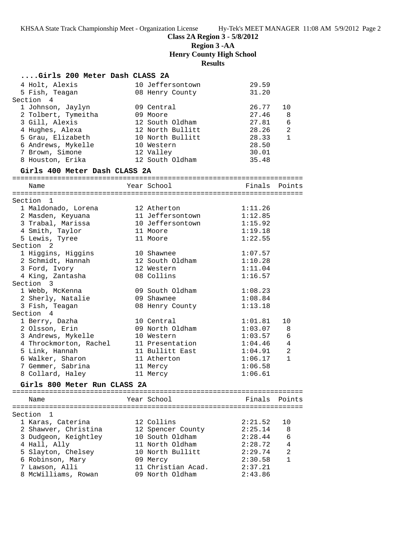**Class 2A Region 3 - 5/8/2012**

**Region 3 -AA**

**Henry County High School**

# **Results**

| Girls 200 Meter Dash CLASS 2A            |                                |                    |                |
|------------------------------------------|--------------------------------|--------------------|----------------|
| 4 Holt, Alexis                           | 10 Jeffersontown               | 29.59              |                |
| 5 Fish, Teagan                           | 08 Henry County                | 31.20              |                |
| Section 4                                |                                |                    |                |
| 1 Johnson, Jaylyn                        | 09 Central                     | 26.77              | 10             |
| 2 Tolbert, Tymeitha                      | 09 Moore                       | 27.46              | 8              |
| 3 Gill, Alexis                           | 12 South Oldham                | 27.81              | 6              |
| 4 Hughes, Alexa                          | 12 North Bullitt               | 28.26<br>28.33     | 2              |
| 5 Grau, Elizabeth                        | 10 North Bullitt               |                    | $\mathbf{1}$   |
| 6 Andrews, Mykelle                       | 10 Western                     | 28.50              |                |
| 7 Brown, Simone                          | 12 Valley                      | 30.01              |                |
| 8 Houston, Erika                         | 12 South Oldham                | 35.48              |                |
| Girls 400 Meter Dash CLASS 2A            |                                |                    |                |
| Name                                     | Year School                    | Finals Points      |                |
|                                          |                                |                    |                |
| Section 1                                | 12 Atherton                    | 1:11.26            |                |
| 1 Maldonado, Lorena<br>2 Masden, Keyuana | 11 Jeffersontown               | 1:12.85            |                |
| 3 Trabal, Marissa                        | 10 Jeffersontown               | 1:15.92            |                |
| 4 Smith, Taylor                          | 11 Moore                       | 1:19.18            |                |
| 5 Lewis, Tyree                           | 11 Moore                       | 1:22.55            |                |
| Section <sub>2</sub>                     |                                |                    |                |
| 1 Higgins, Higgins                       | 10 Shawnee                     | 1:07.57            |                |
| 2 Schmidt, Hannah                        | 12 South Oldham                | 1:10.28            |                |
| 3 Ford, Ivory                            | 12 Western                     | 1:11.04            |                |
| 4 King, Zantasha                         | 08 Collins                     | 1:16.57            |                |
| Section 3                                |                                |                    |                |
| 1 Webb, McKenna                          | 09 South Oldham                | 1:08.23            |                |
| 2 Sherly, Natalie                        | 09 Shawnee                     | 1:08.84            |                |
| 3 Fish, Teagan                           | 08 Henry County                | 1:13.18            |                |
| Section 4                                |                                |                    |                |
| 1 Berry, Dazha                           | 10 Central                     | 1:01.81            | 10             |
| 2 Olsson, Erin                           | 09 North Oldham                | 1:03.07            | 8              |
| 3 Andrews, Mykelle                       | 10 Western                     | 1:03.57            | 6              |
| 4 Throckmorton, Rachel                   | 11 Presentation                | 1:04.46            | $\overline{4}$ |
| 5 Link, Hannah                           | 11 Bullitt East                | 1:04.91            | $\overline{a}$ |
| 6 Walker, Sharon                         | 11 Atherton                    | 1:06.17            | $\mathbf{1}$   |
| 7 Gemmer, Sabrina                        | 11 Mercy                       | 1:06.58            |                |
| 8 Collard, Haley                         | 11 Mercy                       | 1:06.61            |                |
| Girls 800 Meter Run CLASS 2A             |                                |                    |                |
| Name                                     | Year School                    | Finals             | Points         |
|                                          |                                |                    |                |
| Section<br>1                             |                                |                    |                |
| 1 Karas, Caterina                        | 12 Collins                     | 2:21.52            | 10             |
| 2 Shawver, Christina                     | 12 Spencer County              | 2:25.14            | 8              |
| 3 Dudgeon, Keightley                     | 10 South Oldham                | 2:28.44            | 6              |
| 4 Hall, Ally                             | 11 North Oldham                | 2:28.72            | 4              |
| 5 Slayton, Chelsey                       | 10 North Bullitt               | 2:29.74            | 2              |
| 6 Robinson, Mary                         | 09 Mercy<br>11 Christian Acad. | 2:30.58            | $\mathbf{1}$   |
| 7 Lawson, Alli<br>8 McWilliams, Rowan    | 09 North Oldham                | 2:37.21<br>2:43.86 |                |
|                                          |                                |                    |                |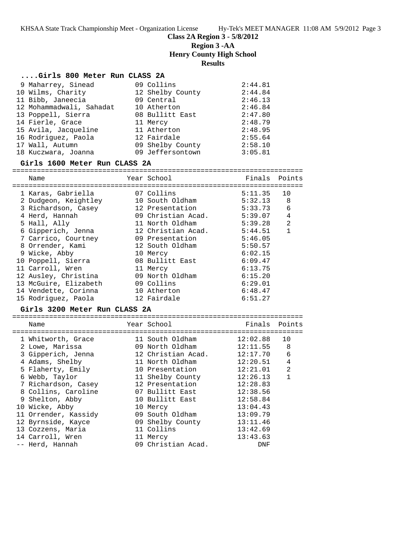### **Class 2A Region 3 - 5/8/2012**

**Region 3 -AA**

**Henry County High School**

### **Results**

#### **....Girls 800 Meter Run CLASS 2A**

| 9 Maharrey, Sinead       | 09 Collins       | 2:44.81 |
|--------------------------|------------------|---------|
| 10 Wilms, Charity        | 12 Shelby County | 2:44.84 |
| 11 Bibb, Janeecia        | 09 Central       | 2:46.13 |
| 12 Mohammadwali, Sahadat | 10 Atherton      | 2:46.84 |
| 13 Poppell, Sierra       | 08 Bullitt East  | 2:47.80 |
| 14 Fierle, Grace         | 11 Mercy         | 2:48.79 |
| 15 Avila, Jacqueline     | 11 Atherton      | 2:48.95 |
| 16 Rodriquez, Paola      | 12 Fairdale      | 2:55.64 |
| 17 Wall, Autumn          | 09 Shelby County | 2:58.10 |
| 18 Kuczwara, Joanna      | 09 Jeffersontown | 3:05.81 |

#### **Girls 1600 Meter Run CLASS 2A**

======================================================================= Name The School Contract Points Points Points Points Points Points Points ======================================================================= 1 Karas, Gabriella 07 Collins 5:11.35 10 2 Dudgeon, Keightley 10 South Oldham 5:32.13 8 3 Richardson, Casey 12 Presentation 5:33.73 6 4 Herd, Hannah 09 Christian Acad. 5:39.07 4 5 Hall, Ally 11 North Oldham 5:39.28 2 6 Gipperich, Jenna 12 Christian Acad. 5:44.51 1 7 Carrico, Courtney 09 Presentation 5:46.05 8 Orrender, Kami 12 South Oldham 5:50.57 9 Wicke, Abby 10 Mercy 6:02.15 10 Poppell, Sierra 08 Bullitt East 6:09.47 11 Carroll, Wren 11 Mercy 6:13.75 12 Ausley, Christina 09 North Oldham 6:15.20 13 McGuire, Elizabeth 09 Collins 6:29.01 14 Vendette, Corinna 10 Atherton 6:48.47 15 Rodriguez, Paola 12 Fairdale 6:51.27

### **Girls 3200 Meter Run CLASS 2A**

| Name                 | Year School        | Finals Points |                |
|----------------------|--------------------|---------------|----------------|
| 1 Whitworth, Grace   | 11 South Oldham    | 12:02.88      | 10             |
| 2 Lowe, Marissa      | 09 North Oldham    | 12:11.55      | 8              |
| 3 Gipperich, Jenna   | 12 Christian Acad. | 12:17.70      | 6              |
| 4 Adams, Shelby      | 11 North Oldham    | 12:20.51      | 4              |
| 5 Flaherty, Emily    | 10 Presentation    | 12:21.01      | $\mathfrak{D}$ |
| 6 Webb, Taylor       | 11 Shelby County   | 12:26.13      | 1              |
| 7 Richardson, Casey  | 12 Presentation    | 12:28.83      |                |
| 8 Collins, Caroline  | 07 Bullitt East    | 12:38.56      |                |
| 9 Shelton, Abby      | 10 Bullitt East    | 12:58.84      |                |
| 10 Wicke, Abby       | 10 Mercy           | 13:04.43      |                |
| 11 Orrender, Kassidy | 09 South Oldham    | 13:09.79      |                |
| 12 Byrnside, Kayce   | 09 Shelby County   | 13:11.46      |                |
| 13 Cozzens, Maria    | 11 Collins         | 13:42.69      |                |
| 14 Carroll, Wren     | 11 Mercy           | 13:43.63      |                |
| -- Herd, Hannah      | 09 Christian Acad. | DNF           |                |
|                      |                    |               |                |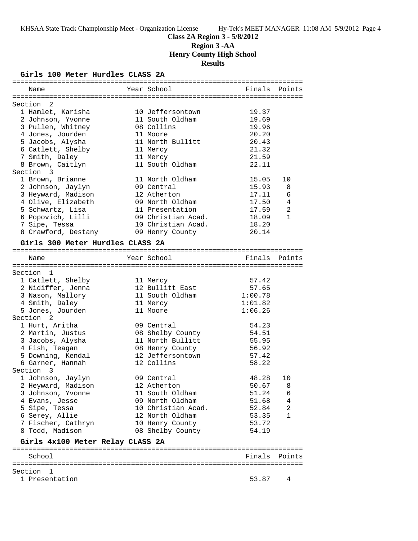# **Class 2A Region 3 - 5/8/2012 Region 3 -AA Henry County High School Results**

## **Girls 100 Meter Hurdles CLASS 2A**

|                                  | Name                             |  | Year School        | Finals  | Points         |  |
|----------------------------------|----------------------------------|--|--------------------|---------|----------------|--|
|                                  |                                  |  |                    |         |                |  |
|                                  | Section 2                        |  |                    |         |                |  |
|                                  | 1 Hamlet, Karisha                |  | 10 Jeffersontown   | 19.37   |                |  |
|                                  | 2 Johnson, Yvonne                |  | 11 South Oldham    | 19.69   |                |  |
|                                  | 3 Pullen, Whitney                |  | 08 Collins         | 19.96   |                |  |
|                                  | 4 Jones, Jourden                 |  | 11 Moore           | 20.20   |                |  |
|                                  | 5 Jacobs, Alysha                 |  | 11 North Bullitt   | 20.43   |                |  |
|                                  | 6 Catlett, Shelby                |  | 11 Mercy           | 21.32   |                |  |
|                                  | 7 Smith, Daley                   |  | 11 Mercy           | 21.59   |                |  |
|                                  | 8 Brown, Caitlyn                 |  | 11 South Oldham    | 22.11   |                |  |
|                                  | Section 3                        |  |                    |         |                |  |
|                                  | 1 Brown, Brianne                 |  | 11 North Oldham    | 15.05   | 10             |  |
|                                  | 2 Johnson, Jaylyn                |  | 09 Central         | 15.93   | 8              |  |
|                                  | 3 Heyward, Madison               |  | 12 Atherton        | 17.11   | 6              |  |
|                                  | 4 Olive, Elizabeth               |  | 09 North Oldham    | 17.50   | 4              |  |
|                                  | 5 Schwartz, Lisa                 |  | 11 Presentation    | 17.59   | $\overline{2}$ |  |
|                                  | 6 Popovich, Lilli                |  | 09 Christian Acad. | 18.09   | $\mathbf{1}$   |  |
|                                  | 7 Sipe, Tessa                    |  | 10 Christian Acad. | 18.20   |                |  |
|                                  |                                  |  |                    |         |                |  |
|                                  | 8 Crawford, Destany              |  | 09 Henry County    | 20.14   |                |  |
|                                  | Girls 300 Meter Hurdles CLASS 2A |  |                    |         |                |  |
|                                  |                                  |  |                    |         |                |  |
|                                  | Name                             |  | Year School        |         | Finals Points  |  |
|                                  |                                  |  |                    |         |                |  |
|                                  | Section 1                        |  |                    |         |                |  |
|                                  | 1 Catlett, Shelby                |  | 11 Mercy           | 57.42   |                |  |
|                                  | 2 Nidiffer, Jenna                |  | 12 Bullitt East    | 57.65   |                |  |
|                                  | 3 Nason, Mallory                 |  | 11 South Oldham    | 1:00.78 |                |  |
|                                  | 4 Smith, Daley                   |  | 11 Mercy           | 1:01.82 |                |  |
|                                  | 5 Jones, Jourden                 |  | 11 Moore           | 1:06.26 |                |  |
|                                  | Section <sub>2</sub>             |  |                    |         |                |  |
|                                  | 1 Hurt, Aritha                   |  | 09 Central         | 54.23   |                |  |
|                                  | 2 Martin, Justus                 |  | 08 Shelby County   | 54.51   |                |  |
|                                  | 3 Jacobs, Alysha                 |  | 11 North Bullitt   | 55.95   |                |  |
|                                  | 4 Fish, Teagan                   |  | 08 Henry County    | 56.92   |                |  |
|                                  | 5 Downing, Kendal                |  | 12 Jeffersontown   | 57.42   |                |  |
|                                  | 6 Garner, Hannah                 |  | 12 Collins         | 58.22   |                |  |
|                                  | Section 3                        |  |                    |         |                |  |
|                                  | 1 Johnson, Jaylyn                |  | 09 Central         | 48.28   | 10             |  |
|                                  | 2 Heyward, Madison               |  | 12 Atherton        | 50.67   | 8              |  |
|                                  | 3 Johnson, Yvonne                |  | 11 South Oldham    | 51.24   | 6              |  |
|                                  |                                  |  | 09 North Oldham    | 51.68   | 4              |  |
|                                  | 4 Evans, Jesse                   |  | 10 Christian Acad. |         | 2              |  |
|                                  | 5 Sipe, Tessa                    |  |                    | 52.84   |                |  |
|                                  | 6 Serey, Allie                   |  | 12 North Oldham    | 53.35   | 1              |  |
|                                  | 7 Fischer, Cathryn               |  | 10 Henry County    | 53.72   |                |  |
|                                  | 8 Todd, Madison                  |  | 08 Shelby County   | 54.19   |                |  |
| Girls 4x100 Meter Relay CLASS 2A |                                  |  |                    |         |                |  |
|                                  |                                  |  |                    |         |                |  |
|                                  | School                           |  |                    |         | Finals Points  |  |
|                                  | Section 1                        |  |                    |         |                |  |
|                                  | 1 Presentation                   |  |                    | 53.87   | 4              |  |
|                                  |                                  |  |                    |         |                |  |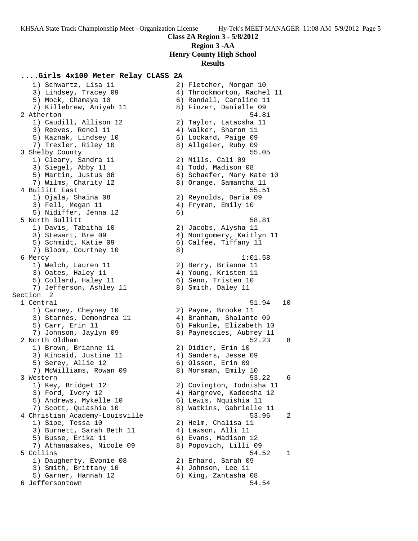### **....Girls 4x100 Meter Relay CLASS 2A**

 1) Schwartz, Lisa 11 2) Fletcher, Morgan 10 3) Lindsey, Tracey 09 4) Throckmorton, Rachel 11 5) Mock, Chamaya 10 6) Randall, Caroline 11 7) Killebrew, Aniyah 11 8) Finzer, Danielle 09 2 Atherton 54.81 1) Caudill, Allison 12 2) Taylor, Latacsha 11 3) Reeves, Renel 11 4) Walker, Sharon 11 5) Kaznak, Lindsey 10 6) Lockard, Paige 09 7) Trexler, Riley 10 8) Allgeier, Ruby 09 3 Shelby County 55.05 1) Cleary, Sandra 11 (2) Mills, Cali 09 3) Siegel, Abby 11 4) Todd, Madison 08 5) Martin, Justus 08 6) Schaefer, Mary Kate 10 7) Wilms, Charity 12 8) Orange, Samantha 11 4 Bullitt East 55.51 1) Ojala, Shaina 08 2) Reynolds, Daria 09 3) Fell, Megan 11 and 4) Fryman, Emily 10 5) Nidiffer, Jenna 12 (6) 5 North Bullitt 58.81 1) Davis, Tabitha 10 2) Jacobs, Alysha 11 3) Stewart, Bre 09 4) Montgomery, Kaitlyn 11 5) Schmidt, Katie 09 6) Calfee, Tiffany 11 7) Bloom, Courtney 10 8) 6 Mercy 1:01.58 1) Welch, Lauren 11 2) Berry, Brianna 11 3) Oates, Haley 11 4) Young, Kristen 11 5) Collard, Haley 11 (6) Senn, Tristen 10 7) Jefferson, Ashley 11 and 8) Smith, Daley 11 Section 2 1 Central 51.94 10 1) Carney, Cheyney 10 2) Payne, Brooke 11 3) Starnes, Demondrea 11 4) Branham, Shalante 09 5) Carr, Erin 11 6) Fakunle, Elizabeth 10 7) Johnson, Jaylyn 09 8) Paynescies, Aubrey 11 2 North Oldham 52.23 8 1) Brown, Brianne 11 2) Didier, Erin 10 3) Kincaid, Justine 11  $\qquad \qquad$  4) Sanders, Jesse 09 5) Serey, Allie 12 6) Olsson, Erin 09 7) McWilliams, Rowan 09 8) Morsman, Emily 10 3 Western 53.22 6 1) Key, Bridget 12 2) Covington, Todnisha 11 3) Ford, Ivory 12 4) Hargrove, Kadeesha 12 5) Andrews, Mykelle 10 6) Lewis, Nquishia 11 7) Scott, Quiashia 10 8) Watkins, Gabrielle 11 4 Christian Academy-Louisville 53.96 2 1) Sipe, Tessa 10 2) Helm, Chalisa 11 3) Burnett, Sarah Beth 11  $\qquad \qquad$  4) Lawson, Alli 11 5) Busse, Erika 11 (6) Evans, Madison 12 7) Athanasakes, Nicole 09 8) Popovich, Lilli 09 5 Collins 54.52 1 1) Daugherty, Evonie 08 2) Erhard, Sarah 09 3) Smith, Brittany 10 (4) Johnson, Lee 11 5) Garner, Hannah 12  $\qquad \qquad$  6) King, Zantasha 08 6 Jeffersontown 54.54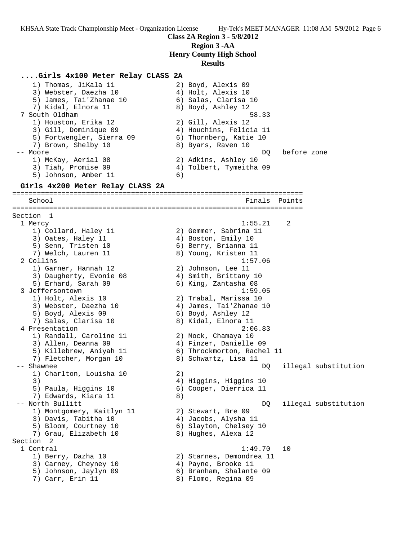**Class 2A Region 3 - 5/8/2012**

**Region 3 -AA**

**Henry County High School**

#### **Results**

### **....Girls 4x100 Meter Relay CLASS 2A**

 1) Thomas, JiKala 11 2) Boyd, Alexis 09 3) Webster, Daezha 10  $\hskip1cm 4$ ) Holt, Alexis 10 5) James, Tai'Zhanae 10 (6) Salas, Clarisa 10 7) Kidal, Elnora 11 8) Boyd, Ashley 12 7 South Oldham 58.33 1) Houston, Erika 12 2) Gill, Alexis 12 3) Gill, Dominique 09 4) Houchins, Felicia 11 5) Fortwengler, Sierra 09 6) Thornberg, Katie 10 7) Brown, Shelby 10 8) Byars, Raven 10 -- Moore DQ before zone 1) McKay, Aerial 08 2) Adkins, Ashley 10 3) Tiah, Promise 09 4) Tolbert, Tymeitha 09 5) Johnson, Amber 11 6) **Girls 4x200 Meter Relay CLASS 2A** ======================================================================= School Finals Points ======================================================================= Section 1 1 Mercy 1:55.21 2 1) Collard, Haley 11 2) Gemmer, Sabrina 11 3) Oates, Haley 11 (4) Boston, Emily 10 5) Senn, Tristen 10 (6) Berry, Brianna 11 7) Welch, Lauren 11 8) Young, Kristen 11 2 Collins 1:57.06 1) Garner, Hannah 12 2) Johnson, Lee 11 3) Daugherty, Evonie 08 4) Smith, Brittany 10 5) Erhard, Sarah 09 6) King, Zantasha 08 3 Jeffersontown 1:59.05 1) Holt, Alexis 10 2) Trabal, Marissa 10 3) Webster, Daezha 10 4) James, Tai'Zhanae 10 5) Boyd, Alexis 09 6) Boyd, Ashley 12 7) Salas, Clarisa 10 8) Kidal, Elnora 11 4 Presentation 2:06.83 1) Randall, Caroline 11 2) Mock, Chamaya 10 3) Allen, Deanna 09 4) Finzer, Danielle 09 5) Killebrew, Aniyah 11 6) Throckmorton, Rachel 11 7) Fletcher, Morgan 10  $\hphantom{\text{2.65}$  8) Schwartz, Lisa 11 -- Shawnee DQ illegal substitution 1) Charlton, Louisha 10 (2) 3) 4) Higgins, Higgins 10 5) Paula, Higgins 10 6) Cooper, Dierrica 11 7) Edwards, Kiara 11 and 8) -- North Bullitt DQ illegal substitution 1) Montgomery, Kaitlyn 11 2) Stewart, Bre 09 3) Davis, Tabitha 10  $\hskip1cm \hskip1cm 4$ ) Jacobs, Alysha 11 5) Bloom, Courtney 10 6) Slayton, Chelsey 10 7) Grau, Elizabeth 10 8) Hughes, Alexa 12 Section 2 1 Central 1:49.70 10 1) Berry, Dazha 10 2) Starnes, Demondrea 11 3) Carney, Cheyney 10  $\hskip1cm 4)$  Payne, Brooke 11 5) Johnson, Jaylyn 09 6) Branham, Shalante 09 7) Carr, Erin 11 8) Flomo, Regina 09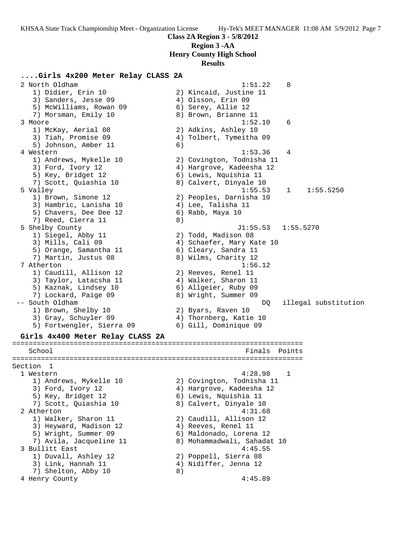**Class 2A Region 3 - 5/8/2012**

# **Region 3 -AA**

**Henry County High School**

#### **Results**

### **....Girls 4x200 Meter Relay CLASS 2A**

 2 North Oldham 1:51.22 8 1) Didier, Erin 10 2) Kincaid, Justine 11 3) Sanders, Jesse 09 (4) Olsson, Erin 09 5) McWilliams, Rowan 09 6) Serey, Allie 12 7) Morsman, Emily 10  $\hphantom{\text{2.65}$  8) Brown, Brianne 11 3 Moore 1:52.10 6 1) McKay, Aerial 08 2) Adkins, Ashley 10 3) Tiah, Promise 09 4) Tolbert, Tymeitha 09 5) Johnson, Amber 11 6) 4 Western 1:53.36 4 1) Andrews, Mykelle 10 2) Covington, Todnisha 11 3) Ford, Ivory 12 4) Hargrove, Kadeesha 12 5) Key, Bridget 12 6) Lewis, Nquishia 11 7) Scott, Quiashia 10 8) Calvert, Dinyale 10 5 Valley 1:55.53 1 1:55.5250 1) Brown, Simone 12 2) Peoples, Darnisha 10 3) Hambric, Lanisha 10 4) Lee, Talisha 11 5) Chavers, Dee Dee 12 (6) Rabb, Maya 10 7) Reed, Cierra 11 and 8) 5 Shelby County J1:55.53 1:55.5270 1) Siegel, Abby 11 2) Todd, Madison 08 3) Mills, Cali 09 4) Schaefer, Mary Kate 10 5) Orange, Samantha 11  $\qquad \qquad$  6) Cleary, Sandra 11 7) Martin, Justus 08 8) Wilms, Charity 12 7 Atherton 1:56.12 1) Caudill, Allison 12 2) Reeves, Renel 11 3) Taylor, Latacsha 11 <a>> 4) Walker, Sharon 11 5) Kaznak, Lindsey 10 6) Allgeier, Ruby 09 7) Lockard, Paige 09 8) Wright, Summer 09 -- South Oldham DQ illegal substitution 1) Brown, Shelby 10 2) Byars, Raven 10 3) Gray, Schuyler 09 4) Thornberg, Katie 10 5) Fortwengler, Sierra 09 6) Gill, Dominique 09 **Girls 4x400 Meter Relay CLASS 2A** ======================================================================= School **Finals Points** ======================================================================= Section 1 1 Western 4:28.98 1 1) Andrews, Mykelle 10 2) Covington, Todnisha 11 3) Ford, Ivory 12 4) Hargrove, Kadeesha 12 5) Key, Bridget 12 6) Lewis, Nquishia 11 7) Scott, Quiashia 10 8) Calvert, Dinyale 10 2 Atherton 4:31.68 1) Walker, Sharon 11 2) Caudill, Allison 12 3) Heyward, Madison 12 (4) Reeves, Renel 11 5) Wright, Summer 09 6) Maldonado, Lorena 12 7) Avila, Jacqueline 11 8) Mohammadwali, Sahadat 10 3 Bullitt East 4:45.55 1) Duvall, Ashley 12 2) Poppell, Sierra 08 3) Link, Hannah 11 4) Nidiffer, Jenna 12 7) Shelton, Abby 10 8) 4 Henry County 4:45.89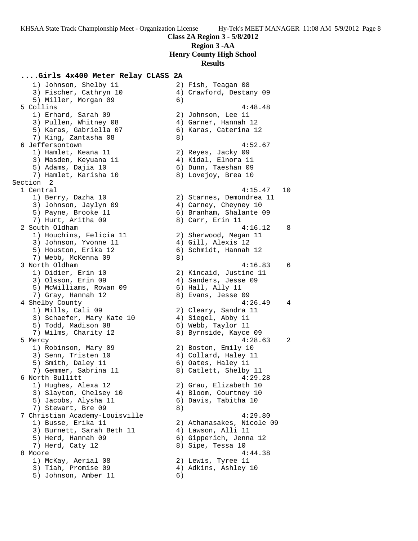## **....Girls 4x400 Meter Relay CLASS 2A**

 1) Johnson, Shelby 11 2) Fish, Teagan 08 3) Fischer, Cathryn 10 4) Crawford, Destany 09 5) Miller, Morgan 09 (6) 5 Collins 4:48.48 1) Erhard, Sarah 09 2) Johnson, Lee 11 3) Pullen, Whitney 08 4) Garner, Hannah 12 5) Karas, Gabriella 07 6) Karas, Caterina 12 7) King, Zantasha 08 8) 6 Jeffersontown 4:52.67 1) Hamlet, Keana 11 2) Reyes, Jacky 09 3) Masden, Keyuana 11  $\hskip10mm 4$ ) Kidal, Elnora 11 5) Adams, Dajia 10 6) Dunn, Taeshan 09 7) Hamlet, Karisha 10 8) Lovejoy, Brea 10 Section 2<br>1 Central 1 Central 4:15.47 10 1) Berry, Dazha 10 2) Starnes, Demondrea 11 3) Johnson, Jaylyn 09 4) Carney, Cheyney 10 5) Payne, Brooke 11 6) Branham, Shalante 09 7) Hurt, Aritha 09 8) Carr, Erin 11 2 South Oldham 4:16.12 8 1) Houchins, Felicia 11 2) Sherwood, Megan 11 3) Johnson, Yvonne 11 (4) Gill, Alexis 12 5) Houston, Erika 12 6) Schmidt, Hannah 12 7) Webb, McKenna 09 8) 3 North Oldham 4:16.83 6 1) Didier, Erin 10 2) Kincaid, Justine 11 3) Olsson, Erin 09 (4) Sanders, Jesse 09 5) McWilliams, Rowan 09 6) Hall, Ally 11 7) Gray, Hannah 12 8) Evans, Jesse 09 4 Shelby County 4:26.49 4 1) Mills, Cali 09 2) Cleary, Sandra 11 3) Schaefer, Mary Kate 10 (4) Siegel, Abby 11 5) Todd, Madison 08 6) Webb, Taylor 11 7) Wilms, Charity 12 8) Byrnside, Kayce 09 5 Mercy 4:28.63 2 1) Robinson, Mary 09 2) Boston, Emily 10 3) Senn, Tristen 10 4) Collard, Haley 11 5) Smith, Daley 11 6) Oates, Haley 11 7) Gemmer, Sabrina 11 8) Catlett, Shelby 11 6 North Bullitt 4:29.28 1) Hughes, Alexa 12 2) Grau, Elizabeth 10 3) Slayton, Chelsey 10 4) Bloom, Courtney 10 5) Jacobs, Alysha 11 6) Davis, Tabitha 10 7) Stewart, Bre 09 8) 7 Christian Academy-Louisville 4:29.80 1) Busse, Erika 11 2) Athanasakes, Nicole 09 3) Burnett, Sarah Beth 11  $\qquad \qquad$  4) Lawson, Alli 11 5) Herd, Hannah 09 6) Gipperich, Jenna 12 7) Herd, Caty 12 8) Sipe, Tessa 10 8 Moore 4:44.38 1) McKay, Aerial 08 2) Lewis, Tyree 11 3) Tiah, Promise 09 4) Adkins, Ashley 10 5) Johnson, Amber 11 6)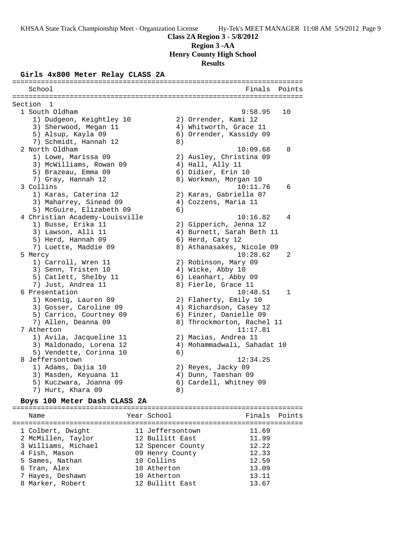# **Class 2A Region 3 - 5/8/2012 Region 3 -AA**

**Henry County High School**

# **Results**

### **Girls 4x800 Meter Relay CLASS 2A**

======================================================================= School **Finals** Points **Points** ======================================================================= Section 1<br>1 South Oldham 1 South Oldham 9:58.95 10 1) Dudgeon, Keightley 10 2) Orrender, Kami 12 3) Sherwood, Megan 11 4) Whitworth, Grace 11 5) Alsup, Kayla 09 6) Orrender, Kassidy 09 7) Schmidt, Hannah 12 (8) 2 North Oldham 10:09.68 8 1) Lowe, Marissa 09 2) Ausley, Christina 09 3) McWilliams, Rowan 09  $\hskip1cm 4$ ) Hall, Ally 11 5) Brazeau, Emma 09 6) Didier, Erin 10 7) Gray, Hannah 12 8) Workman, Morgan 10 3 Collins 10:11.76 6 1) Karas, Caterina 12 2) Karas, Gabriella 07 3) Maharrey, Sinead 09 4) Cozzens, Maria 11 5) McGuire, Elizabeth 09 (6) 4 Christian Academy-Louisville 10:16.82 4 1) Busse, Erika 11 2) Gipperich, Jenna 12 3) Lawson, Alli 11 4) Burnett, Sarah Beth 11 5) Herd, Hannah 09 6) Herd, Caty 12 7) Luette, Maddie 09 8) Athanasakes, Nicole 09 5 Mercy 10:28.62 2 1) Carroll, Wren 11 2) Robinson, Mary 09 3) Senn, Tristen 10 (4) Wicke, Abby 10 5) Catlett, Shelby 11 6) Leanhart, Abby 09 7) Just, Andrea 11 and 8) Fierle, Grace 11 6 Presentation 10:48.51 1 1) Koenig, Lauren 09 2) Flaherty, Emily 10 3) Gosser, Caroline 09 4) Richardson, Casey 12 5) Carrico, Courtney 09 6) Finzer, Danielle 09 7) Allen, Deanna 09 8) Throckmorton, Rachel 11 7 Atherton 11:17.81 1) Avila, Jacqueline 11 2) Macias, Andrea 11 3) Maldonado, Lorena 12 4) Mohammadwali, Sahadat 10 5) Vendette, Corinna 10 (6) 8 Jeffersontown 12:34.25 1) Adams, Dajia 10 2) Reyes, Jacky 09 3) Masden, Keyuana 11  $\hskip1cm 4$ ) Dunn, Taeshan 09 5) Kuczwara, Joanna 09 6) Cardell, Whitney 09 7) Hurt, Khara 09 8)

## **Boys 100 Meter Dash CLASS 2A**

======================================================================= Name **Name** Year School **Finals Points** ======================================================================= 1 Colbert, Dwight 11 Jeffersontown 11.69 2 McMillen, Taylor 12 Bullitt East 11.99 3 Williams, Michael 12 Spencer County 12.22 4 Fish, Mason 09 Henry County 12.33 5 Sames, Nathan 10 Collins 12.59 6 Tran, Alex 10 Atherton 13.09 7 Hayes, Deshawn 10 Atherton 13.11 8 Marker, Robert 12 Bullitt East 13.67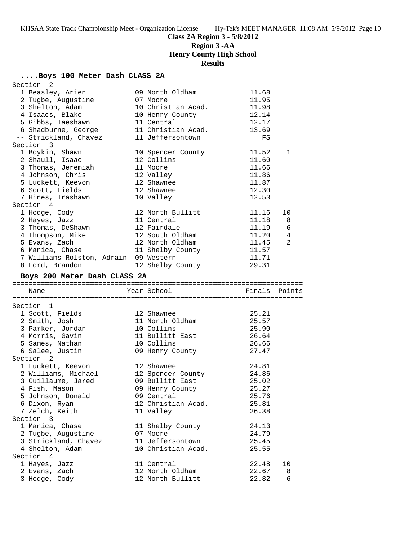# **Class 2A Region 3 - 5/8/2012**

# **Region 3 -AA**

# **Henry County High School**

# **Results**

## **....Boys 100 Meter Dash CLASS 2A**

| Section <sub>2</sub>                    |                                        |                |            |
|-----------------------------------------|----------------------------------------|----------------|------------|
| 1 Beasley, Arien                        | 09 North Oldham                        | 11.68          |            |
| 2 Tugbe, Augustine                      | 07 Moore                               | 11.95          |            |
| 3 Shelton, Adam                         | 10 Christian Acad.                     | 11.98          |            |
| 4 Isaacs, Blake                         | 10 Henry County                        | 12.14          |            |
| 5 Gibbs, Taeshawn                       | 11 Central                             | 12.17          |            |
| 6 Shadburne, George                     | 11 Christian Acad.                     | 13.69          |            |
| -- Strickland, Chavez                   | 11 Jeffersontown                       | FS             |            |
| Section 3                               |                                        |                |            |
| 1 Boykin, Shawn                         | 10 Spencer County                      | 11.52          | 1          |
| 2 Shaull, Isaac                         | 12 Collins                             | 11.60          |            |
| 3 Thomas, Jeremiah                      | 11 Moore                               | 11.66          |            |
| 4 Johnson, Chris                        | 12 Valley                              | 11.86          |            |
| 5 Luckett, Keevon                       | 12 Shawnee                             | 11.87          |            |
| 6 Scott, Fields                         | 12 Shawnee                             | 12.30          |            |
| 7 Hines, Trashawn                       | 10 Valley                              | 12.53          |            |
| Section 4                               |                                        |                |            |
| 1 Hodge, Cody                           | 12 North Bullitt                       | 11.16          | 10         |
| 2 Hayes, Jazz                           | 11 Central                             | 11.18          | 8          |
| 3 Thomas, DeShawn                       | 12 Fairdale                            | 11.19          | $\epsilon$ |
| 4 Thompson, Mike                        | 12 South Oldham                        | 11.20          | 4          |
| 5 Evans, Zach                           | 12 North Oldham                        | 11.45          | 2          |
| 6 Manica, Chase                         | 11 Shelby County                       | 11.57          |            |
| 7 Williams-Rolston, Adrain 09 Western   |                                        | 11.71          |            |
| 8 Ford, Brandon                         | 12 Shelby County                       | 29.31          |            |
| Boys 200 Meter Dash CLASS 2A            |                                        |                |            |
|                                         |                                        |                |            |
| Name                                    | Year School                            | Finals         | Points     |
|                                         |                                        |                |            |
| Section 1                               |                                        |                |            |
| 1 Scott, Fields                         | 12 Shawnee                             | 25.21          |            |
| 2 Smith, Josh                           | 11 North Oldham                        | 25.57          |            |
| 3 Parker, Jordan                        | 10 Collins                             | 25.90          |            |
| 4 Morris, Gavin                         | 11 Bullitt East                        | 26.64          |            |
| 5 Sames, Nathan                         | 10 Collins                             | 26.66          |            |
| 6 Salee, Justin                         | 09 Henry County                        | 27.47          |            |
| Section <sub>2</sub>                    |                                        |                |            |
| 1 Luckett, Keevon                       | 12 Shawnee                             | 24.81          |            |
| 2 Williams, Michael                     | 12 Spencer County                      | 24.86          |            |
| 3 Guillaume, Jared                      | 09 Bullitt East                        | 25.02          |            |
| 4 Fish, Mason                           | 09 Henry County                        | 25.27          |            |
| 5 Johnson, Donald                       | 09 Central                             | 25.76          |            |
| 6 Dixon, Ryan                           | 12 Christian Acad.                     | 25.81          |            |
| 7 Zelch, Keith                          | 11 Valley                              | 26.38          |            |
| Section 3                               |                                        |                |            |
|                                         |                                        |                |            |
| 1 Manica, Chase                         | 11 Shelby County                       | 24.13          |            |
| 2 Tugbe, Augustine                      | 07 Moore                               | 24.79          |            |
| 3 Strickland, Chavez<br>4 Shelton, Adam | 11 Jeffersontown<br>10 Christian Acad. | 25.45<br>25.55 |            |

| Section 4     |                  |              |
|---------------|------------------|--------------|
| 1 Hayes, Jazz | 11 Central       | 22.48<br>1 O |
| 2 Evans, Zach | 12 North Oldham  | 22.67<br>- 8 |
| 3 Hodge, Cody | 12 North Bullitt | - 6<br>22.82 |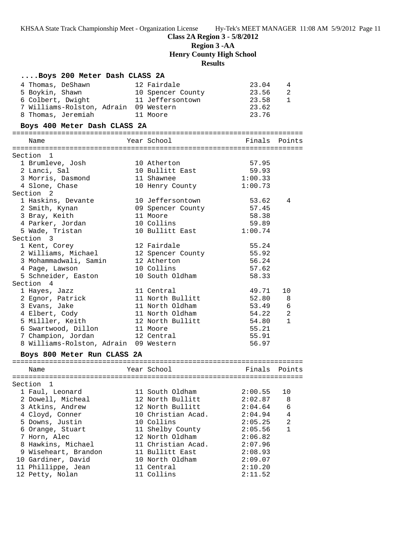| Boys 200 Meter Dash CLASS 2A          |                    |               |                |
|---------------------------------------|--------------------|---------------|----------------|
| 4 Thomas, DeShawn                     | 12 Fairdale        | 23.04         | 4              |
| 5 Boykin, Shawn                       | 10 Spencer County  | 23.56         | 2              |
| 6 Colbert, Dwight                     | 11 Jeffersontown   | 23.58         | 1              |
| 7 Williams-Rolston, Adrain 09 Western |                    | 23.62         |                |
| 8 Thomas, Jeremiah                    | 11 Moore           | 23.76         |                |
|                                       |                    |               |                |
| Boys 400 Meter Dash CLASS 2A          |                    |               |                |
| Name                                  | Year School        | Finals Points |                |
| Section 1                             |                    |               |                |
| 1 Brumleve, Josh                      | 10 Atherton        | 57.95         |                |
| 2 Lanci, Sal                          | 10 Bullitt East    | 59.93         |                |
| 3 Morris, Dasmond                     | 11 Shawnee         | 1:00.33       |                |
| 4 Slone, Chase                        | 10 Henry County    | 1:00.73       |                |
| Section 2                             |                    |               |                |
| 1 Haskins, Devante                    | 10 Jeffersontown   | 53.62         | 4              |
| 2 Smith, Kynan                        | 09 Spencer County  | 57.45         |                |
| 3 Bray, Keith                         | 11 Moore           | 58.38         |                |
| 4 Parker, Jordan                      | 10 Collins         | 59.89         |                |
| 5 Wade, Tristan                       | 10 Bullitt East    | 1:00.74       |                |
| Section 3                             |                    |               |                |
| 1 Kent, Corey                         | 12 Fairdale        | 55.24         |                |
| 2 Williams, Michael                   | 12 Spencer County  | 55.92         |                |
| 3 Mohammadwali, Samin                 | 12 Atherton        | 56.24         |                |
| 4 Page, Lawson                        | 10 Collins         | 57.62         |                |
| 5 Schneider, Easton                   | 10 South Oldham    | 58.33         |                |
| Section 4                             |                    |               |                |
| 1 Hayes, Jazz                         | 11 Central         | 49.71         | 10             |
| 2 Egnor, Patrick                      | 11 North Bullitt   | 52.80         | 8              |
| 3 Evans, Jake                         | 11 North Oldham    | 53.49         | 6              |
| 4 Elbert, Cody                        | 11 North Oldham    | 54.22         | 2              |
| 5 Milller, Keith                      | 12 North Bullitt   | 54.80         | $\mathbf{1}$   |
| 6 Swartwood, Dillon                   | 11 Moore           | 55.21         |                |
| 7 Champion, Jordan                    | 12 Central         | 55.91         |                |
| 8 Williams-Rolston, Adrain 09 Western |                    | 56.97         |                |
| Boys 800 Meter Run CLASS 2A           |                    |               |                |
| Name                                  | Year School        | Finals        | Points         |
|                                       |                    |               |                |
| Section 1                             |                    |               |                |
| 1 Faul, Leonard                       | 11 South Oldham    | 2:00.55       | 10             |
| 2 Dowell, Micheal                     | 12 North Bullitt   | 2:02.87       | 8              |
| 3 Atkins, Andrew                      | 12 North Bullitt   | 2:04.64       | 6              |
| 4 Cloyd, Conner                       | 10 Christian Acad. | 2:04.94       | $\overline{4}$ |
| 5 Downs, Justin                       | 10 Collins         | 2:05.25       | $\overline{2}$ |
| 6 Orange, Stuart                      | 11 Shelby County   | 2:05.56       | $\mathbf{1}$   |
| 7 Horn, Alec                          | 12 North Oldham    | 2:06.82       |                |
| 8 Hawkins, Michael                    | 11 Christian Acad. | 2:07.96       |                |
| 9 Wiseheart, Brandon                  | 11 Bullitt East    | 2:08.93       |                |
| 10 Gardiner, David                    | 10 North Oldham    | 2:09.07       |                |
| 11 Phillippe, Jean                    | 11 Central         | 2:10.20       |                |
| 12 Petty, Nolan                       | 11 Collins         | 2:11.52       |                |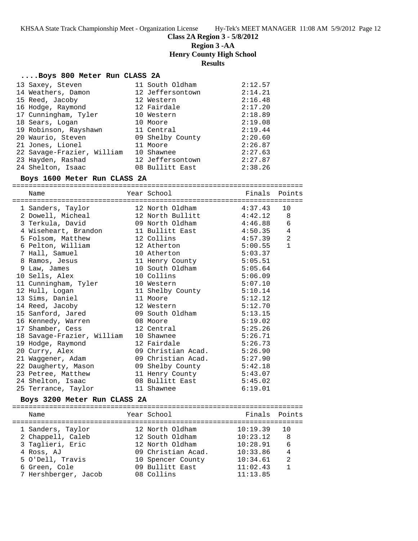**Class 2A Region 3 - 5/8/2012**

**Region 3 -AA**

**Henry County High School**

**Results**

### **....Boys 800 Meter Run CLASS 2A**

| 13 Saxey, Steven           | 11 South Oldham  | 2:12.57 |
|----------------------------|------------------|---------|
| 14 Weathers, Damon         | 12 Jeffersontown | 2:14.21 |
| 15 Reed, Jacoby            | 12 Western       | 2:16.48 |
| 16 Hodge, Raymond          | 12 Fairdale      | 2:17.20 |
| 17 Cunningham, Tyler       | 10 Western       | 2:18.89 |
| 18 Sears, Logan            | 10 Moore         | 2:19.08 |
| 19 Robinson, Rayshawn      | 11 Central       | 2:19.44 |
| 20 Waurio, Steven          | 09 Shelby County | 2:20.60 |
| 21 Jones, Lionel           | 11 Moore         | 2:26.87 |
| 22 Savage-Frazier, William | 10 Shawnee       | 2:27.63 |
| 23 Hayden, Rashad          | 12 Jeffersontown | 2:27.87 |
| 24 Shelton, Isaac          | 08 Bullitt East  | 2:38.26 |

### **Boys 1600 Meter Run CLASS 2A**

=======================================================================

| Name                                                   | Year School                  |         | Finals Points  |
|--------------------------------------------------------|------------------------------|---------|----------------|
| 1 Sanders, Taylor 12 North Oldham                      |                              | 4:37.43 | 10             |
| 2 Dowell, Micheal 12 North Bullitt 4:42.12             |                              |         | 8              |
|                                                        |                              |         | $\epsilon$     |
| 4 Wiseheart, Brandon 11 Bullitt East 4:50.35           |                              |         | $\overline{4}$ |
| 5 Folsom, Matthew 12 Collins 12 11 2001                |                              |         | $\overline{2}$ |
| 6 Pelton, William 12 Atherton                          |                              | 5:00.55 | $\mathbf{1}$   |
| 7 Hall, Samuel                                         | 10 Atherton                  | 5:03.37 |                |
| 8 Ramos, Jesus 11 Henry County 5:05.51                 |                              |         |                |
| 9 Law, James                                           | 10 South Oldham 5:05.64      |         |                |
| 10 Sells, Alex                                         | 10 Collins                   | 5:06.09 |                |
| 11 Cunningham, Tyler 10 Western                        |                              | 5:07.10 |                |
| 12 Hull, Logan                                         | 11 Shelby County 5:10.14     |         |                |
| 13 Sims, Daniel 11 Moore<br>14 Reed, Jacoby 12 Western |                              | 5:12.12 |                |
|                                                        |                              | 5:12.70 |                |
| 15 Sanford, Jared 69 South Oldham                      |                              | 5:13.15 |                |
| 16 Kennedy, Warren 68 Moore                            |                              | 5:19.02 |                |
| 17 Shamber, Cess                                       | 12 Central                   | 5:25.26 |                |
| 18 Savage-Frazier, William 10 Shawnee                  |                              | 5:26.71 |                |
| 19 Hodge, Raymond                                      | 12 Fairdale                  | 5:26.73 |                |
| 20 Curry, Alex                                         | 09 Christian Acad. $5:26.90$ |         |                |
| 21 Waggener, Adam (2008) 09 Christian Acad. 5:27.90    |                              |         |                |
| 22 Daugherty, Mason 69 Shelby County 5:42.18           |                              |         |                |
| 23 Petree, Matthew 11 Henry County 5:43.07             |                              |         |                |
| 24 Shelton, Isaac 68 Bullitt East 5:45.02              |                              |         |                |
| 25 Terrance, Taylor                                    | 11 Shawnee                   | 6:19.01 |                |

## **Boys 3200 Meter Run CLASS 2A**

| Name                 | Year School        | Finals Points |                |
|----------------------|--------------------|---------------|----------------|
| 1 Sanders, Taylor    | 12 North Oldham    | 10:19.39      | 1 O            |
| 2 Chappell, Caleb    | 12 South Oldham    | 10:23.12      | 8              |
| 3 Taglieri, Eric     | 12 North Oldham    | 10:28.91      | 6              |
| 4 Ross, AJ           | 09 Christian Acad. | 10:33.86      | $\overline{4}$ |
| 5 O'Dell, Travis     | 10 Spencer County  | 10:34.61      | $\mathfrak{D}$ |
| 6 Green, Cole        | 09 Bullitt East    | 11:02.43      |                |
| 7 Hershberger, Jacob | 08 Collins         | 11:13.85      |                |
|                      |                    |               |                |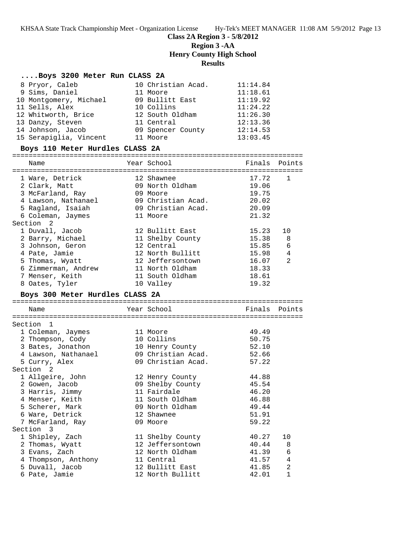## **Class 2A Region 3 - 5/8/2012 Region 3 -AA Henry County High School Results**

## **....Boys 3200 Meter Run CLASS 2A**

| 8 Pryor, Caleb         | 10 Christian Acad. | 11:14.84 |
|------------------------|--------------------|----------|
| 9 Sims, Daniel         | 11 Moore           | 11:18.61 |
| 10 Montgomery, Michael | 09 Bullitt East    | 11:19.92 |
| 11 Sells, Alex         | 10 Collins         | 11:24.22 |
| 12 Whitworth, Brice    | 12 South Oldham    | 11:26.30 |
| 13 Danzy, Steven       | 11 Central         | 12:13.36 |
| 14 Johnson, Jacob      | 09 Spencer County  | 12:14.53 |
| 15 Serapiglia, Vincent | 11 Moore           | 13:03.45 |

## **Boys 110 Meter Hurdles CLASS 2A**

| Name                                                                                                                                                    | Year School                                                                                                                                  |                                                                      | Finals Points                                                |
|---------------------------------------------------------------------------------------------------------------------------------------------------------|----------------------------------------------------------------------------------------------------------------------------------------------|----------------------------------------------------------------------|--------------------------------------------------------------|
| 1 Ware, Detrick<br>2 Clark, Matt<br>3 McFarland, Ray<br>4 Lawson, Nathanael<br>5 Ragland, Isaiah<br>6 Coleman, Jaymes<br>Section<br>2                   | 12 Shawnee<br>09 North Oldham<br>09 Moore<br>09 Christian Acad.<br>09 Christian Acad.<br>11 Moore                                            | 17.72<br>19.06<br>19.75<br>20.02<br>20.09<br>21.32                   | $\mathbf{1}$                                                 |
| 1 Duvall, Jacob<br>2 Barry, Michael<br>3 Johnson, Geron<br>4 Pate, Jamie<br>5 Thomas, Wyatt<br>6 Zimmerman, Andrew<br>7 Menser, Keith<br>8 Oates, Tyler | 12 Bullitt East<br>11 Shelby County<br>12 Central<br>12 North Bullitt<br>12 Jeffersontown<br>11 North Oldham<br>11 South Oldham<br>10 Valley | 15.23<br>15.38<br>15.85<br>15.98<br>16.07<br>18.33<br>18.61<br>19.32 | 10<br>8<br>6<br>4<br>2                                       |
| Boys 300 Meter Hurdles CLASS 2A                                                                                                                         |                                                                                                                                              |                                                                      |                                                              |
| Name<br>Section 1                                                                                                                                       | Year School                                                                                                                                  | Finals                                                               | Points                                                       |
| 1 Coleman, Jaymes<br>2 Thompson, Cody<br>3 Bates, Jonathon<br>4 Lawson, Nathanael                                                                       | 11 Moore<br>10 Collins<br>10 Henry County<br>09 Christian Acad.                                                                              | 49.49<br>50.75<br>52.10<br>52.66                                     |                                                              |
| 5 Curry, Alex<br>Section 2                                                                                                                              | 09 Christian Acad.                                                                                                                           | 57.22                                                                |                                                              |
| 1 Allgeire, John<br>2 Gowen, Jacob<br>3 Harris, Jimmy<br>4 Menser, Keith<br>5 Scherer, Mark<br>6 Ware, Detrick<br>7 McFarland, Ray                      | 12 Henry County<br>09 Shelby County<br>11 Fairdale<br>11 South Oldham<br>09 North Oldham<br>12 Shawnee<br>09 Moore                           | 44.88<br>45.54<br>46.20<br>46.88<br>49.44<br>51.91<br>59.22          |                                                              |
| Section 3                                                                                                                                               |                                                                                                                                              |                                                                      |                                                              |
| 1 Shipley, Zach<br>2 Thomas, Wyatt<br>3 Evans, Zach<br>4 Thompson, Anthony<br>5 Duvall, Jacob<br>6 Pate, Jamie                                          | 11 Shelby County<br>12 Jeffersontown<br>12 North Oldham<br>11 Central<br>12 Bullitt East<br>12 North Bullitt                                 | 40.27<br>40.44<br>41.39<br>41.57<br>41.85<br>42.01                   | 10<br>8<br>$\epsilon$<br>4<br>$\overline{2}$<br>$\mathbf{1}$ |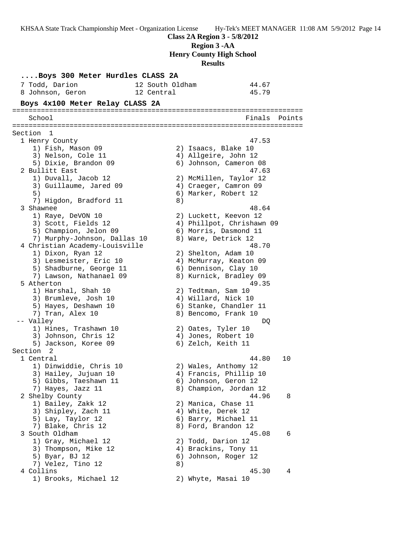**Class 2A Region 3 - 5/8/2012 Region 3 -AA Henry County High School Results**

**....Boys 300 Meter Hurdles CLASS 2A** 7 Todd, Darion 12 South Oldham 44.67 8 Johnson, Geron 12 Central 45.79 **Boys 4x100 Meter Relay CLASS 2A** ======================================================================= School Finals Points ======================================================================= Section 1 1 Henry County 47.53 1) Fish, Mason 09 2) Isaacs, Blake 10 3) Nelson, Cole 11 (4) Allgeire, John 12 5) Dixie, Brandon 09 6) Johnson, Cameron 08 2 Bullitt East 47.63 1) Duvall, Jacob 12 2) McMillen, Taylor 12 3) Guillaume, Jared 09 4) Craeger, Camron 09 5) 6) Marker, Robert 12 7) Higdon, Bradford 11 (8) 3 Shawnee 48.64 1) Raye, DeVON 10 2) Luckett, Keevon 12 3) Scott, Fields 12 4) Phillpot, Chrishawn 09 5) Champion, Jelon 09 6) Morris, Dasmond 11 7) Murphy-Johnson, Dallas 10 8) Ware, Detrick 12 4 Christian Academy-Louisville 48.70 1) Dixon, Ryan 12 2) Shelton, Adam 10 3) Lesmeister, Eric 10 4) McMurray, Keaton 09 5) Shadburne, George 11 (6) Dennison, Clay 10 7) Lawson, Nathanael 09 8) Kurnick, Bradley 09 5 Atherton 49.35 1) Harshal, Shah 10 2) Tedtman, Sam 10 3) Brumleve, Josh 10 4) Willard, Nick 10 5) Hayes, Deshawn 10 6) Stanke, Chandler 11 7) Tran, Alex 10 8) Bencomo, Frank 10 -- Valley DQ 1) Hines, Trashawn 10 2) Oates, Tyler 10 3) Johnson, Chris 12 (4) Jones, Robert 10 5) Jackson, Koree 09 6) Zelch, Keith 11 Section 2 1 Central 44.80 10 1) Dinwiddie, Chris 10 2) Wales, Anthomy 12 3) Hailey, Jujuan 10 4) Francis, Phillip 10 5) Gibbs, Taeshawn 11 6) Johnson, Geron 12 7) Hayes, Jazz 11 8) Champion, Jordan 12 2 Shelby County 44.96 8 1) Bailey, Zakk 12 2) Manica, Chase 11 3) Shipley, Zach 11 4) White, Derek 12 5) Lay, Taylor 12 6) Barry, Michael 11 7) Blake, Chris 12 8) Ford, Brandon 12 3 South Oldham 45.08 6 1) Gray, Michael 12 2) Todd, Darion 12 3) Thompson, Mike 12 (4) Brackins, Tony 11 5) Byar, BJ 12 6) Johnson, Roger 12 7) Velez, Tino 12 (8) 4 Collins 45.30 4 1) Brooks, Michael 12 2) Whyte, Masai 10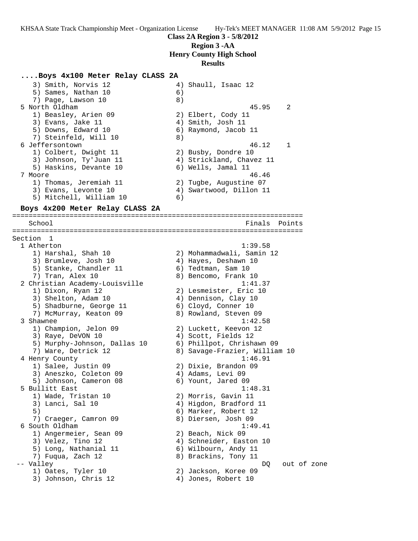### **....Boys 4x100 Meter Relay CLASS 2A**

3) Smith, Norvis 12 4) Shaull, Isaac 12 5) Sames, Nathan 10 (6) 7) Page, Lawson 10 8) 5 North Oldham 45.95 2 1) Beasley, Arien 09 2) Elbert, Cody 11 3) Evans, Jake 11 (4) Smith, Josh 11 5) Downs, Edward 10 6) Raymond, Jacob 11 7) Steinfeld, Will 10 8) 6 Jeffersontown 46.12 1 1) Colbert, Dwight 11 2) Busby, Dondre 10 3) Johnson, Ty'Juan 11 4) Strickland, Chavez 11 5) Haskins, Devante 10 (6) Wells, Jamal 11 7 Moore 46.46 1) Thomas, Jeremiah 11 2) Tugbe, Augustine 07 3) Evans, Levonte 10 4) Swartwood, Dillon 11 5) Mitchell, William 10 6)

#### **Boys 4x200 Meter Relay CLASS 2A**

======================================================================= School Finals Points Points Points Points Points Points Points Points Points Points Points Points Points Points ======================================================================= Section 1<br>1 Atherton 1 Atherton 1:39.58 1) Harshal, Shah 10 2) Mohammadwali, Samin 12 3) Brumleve, Josh 10  $\hskip1cm \hskip1cm 4$ ) Hayes, Deshawn 10 5) Stanke, Chandler 11 (5) fedtman, Sam 10 7) Tran, Alex 10 8) Bencomo, Frank 10 2 Christian Academy-Louisville 1:41.37 1) Dixon, Ryan 12 2) Lesmeister, Eric 10 3) Shelton, Adam 10 4) Dennison, Clay 10 5) Shadburne, George 11  $\qquad \qquad$  6) Cloyd, Conner 10 7) McMurray, Keaton 09 8) Rowland, Steven 09 3 Shawnee 1:42.58 1) Champion, Jelon 09 2) Luckett, Keevon 12 3) Raye, DeVON 10 4) Scott, Fields 12 5) Murphy-Johnson, Dallas 10 6) Phillpot, Chrishawn 09 7) Ware, Detrick 12 8) Savage-Frazier, William 10 4 Henry County 1:46.91 1) Salee, Justin 09 2) Dixie, Brandon 09 3) Aneszko, Coleton 09 4) Adams, Levi 09 5) Johnson, Cameron 08 6) Yount, Jared 09 5 Bullitt East 1:48.31 1) Wade, Tristan 10 2) Morris, Gavin 11 3) Lanci, Sal 10 4) Higdon, Bradford 11 5) 6) Marker, Robert 12 7) Craeger, Camron 09 8) Diersen, Josh 09 6 South Oldham 1:49.41 1) Angermeier, Sean 09 2) Beach, Nick 09 3) Velez, Tino 12 4) Schneider, Easton 10 5) Long, Nathanial 11 (6) Wilbourn, Andy 11 7) Fuqua, Zach 12 8) Brackins, Tony 11 -- Valley and the contract of zone of zone of zone of zone of zone of zone of zone of  $DQ$  out of zone 1) Oates, Tyler 10 2) Jackson, Koree 09 3) Johnson, Chris 12 4) Jones, Robert 10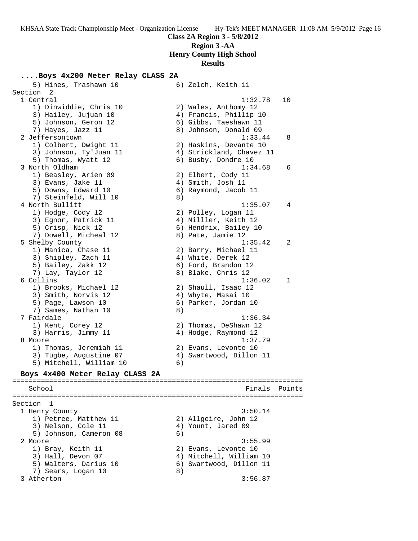# **Class 2A Region 3 - 5/8/2012 Region 3 -AA**

# **Henry County High School**

## **Results**

### **....Boys 4x200 Meter Relay CLASS 2A**

5) Hines, Trashawn 10 6) Zelch, Keith 11 Section 2<br>1 Central 1 Central 1:32.78 10 1) Dinwiddie, Chris 10 2) Wales, Anthomy 12 3) Hailey, Jujuan 10 4) Francis, Phillip 10 5) Johnson, Geron 12 6) Gibbs, Taeshawn 11 7) Hayes, Jazz 11 8) Johnson, Donald 09 2 Jeffersontown 1:33.44 8 1) Colbert, Dwight 11 2) Haskins, Devante 10 3) Johnson, Ty'Juan 11 4) Strickland, Chavez 11 5) Thomas, Wyatt 12 (6) Busby, Dondre 10 3 North Oldham 1:34.68 6 1) Beasley, Arien 09 2) Elbert, Cody 11 3) Evans, Jake 11 (4) Smith, Josh 11 5) Downs, Edward 10 (6) Raymond, Jacob 11 7) Steinfeld, Will 10 8) 4 North Bullitt 1:35.07 4 1) Hodge, Cody 12 2) Polley, Logan 11 3) Egnor, Patrick 11  $\qquad \qquad$  4) Milller, Keith 12 5) Crisp, Nick 12 6) Hendrix, Bailey 10 7) Dowell, Micheal 12 8) Pate, Jamie 12 5 Shelby County 1:35.42 2 1) Manica, Chase 11 2) Barry, Michael 11 3) Shipley, Zach 11 4) White, Derek 12 5) Bailey, Zakk 12 6) Ford, Brandon 12 7) Lay, Taylor 12 8) Blake, Chris 12 6 Collins 1:36.02 1 1) Brooks, Michael 12 2) Shaull, Isaac 12 3) Smith, Norvis 12 4) Whyte, Masai 10 5) Page, Lawson 10 (6) Parker, Jordan 10 7) Sames, Nathan 10 (8) 7 Fairdale 1:36.34 1) Kent, Corey 12 2) Thomas, DeShawn 12 3) Harris, Jimmy 11 4) Hodge, Raymond 12 8 Moore 1:37.79 1) Thomas, Jeremiah 11  $\qquad \qquad$  2) Evans, Levonte 10 3) Tugbe, Augustine 07 4) Swartwood, Dillon 11 5) Mitchell, William 10 6) **Boys 4x400 Meter Relay CLASS 2A** ======================================================================= School **Finals** Points **Points** ======================================================================= Section 1 1 Henry County 3:50.14 1) Petree, Matthew 11 2) Allgeire, John 12 3) Nelson, Cole 11 4) Yount, Jared 09 5) Johnson, Cameron 08 6) 2 Moore 3:55.99 1) Bray, Keith 11 2) Evans, Levonte 10 3) Hall, Devon 07 4) Mitchell, William 10 5) Walters, Darius 10 6) Swartwood, Dillon 11 7) Sears, Logan 10 8) 3 Atherton 3:56.87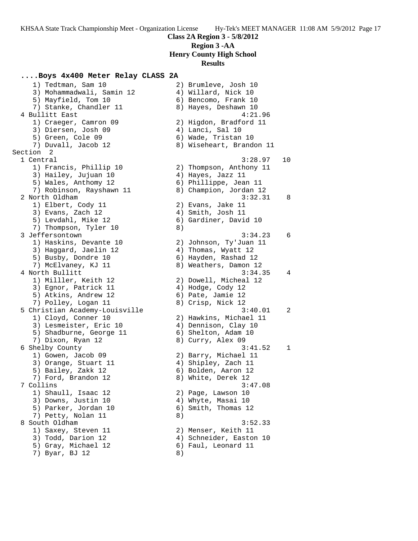# **....Boys 4x400 Meter Relay CLASS 2A**

| 1) Tedtman, Sam 10             |    | 2) Brumleve, Josh 10     |                |
|--------------------------------|----|--------------------------|----------------|
| 3) Mohammadwali, Samin 12      |    | 4) Willard, Nick 10      |                |
| 5) Mayfield, Tom 10            |    | 6) Bencomo, Frank 10     |                |
| 7) Stanke, Chandler 11         |    | 8) Hayes, Deshawn 10     |                |
| 4 Bullitt East                 |    | 4:21.96                  |                |
| 1) Craeger, Camron 09          |    | 2) Higdon, Bradford 11   |                |
| 3) Diersen, Josh 09            |    | 4) Lanci, Sal 10         |                |
| 5) Green, Cole 09              |    | 6) Wade, Tristan 10      |                |
| 7) Duvall, Jacob 12            |    | 8) Wiseheart, Brandon 11 |                |
| Section <sub>2</sub>           |    |                          |                |
| 1 Central                      |    | 3:28.97                  | 10             |
| 1) Francis, Phillip 10         |    | 2) Thompson, Anthony 11  |                |
| 3) Hailey, Jujuan 10           |    | 4) Hayes, Jazz 11        |                |
| 5) Wales, Anthomy 12           |    | 6) Phillippe, Jean 11    |                |
|                                |    |                          |                |
| 7) Robinson, Rayshawn 11       |    | 8) Champion, Jordan 12   |                |
| 2 North Oldham                 |    | 3:32.31                  | -8             |
| 1) Elbert, Cody 11             |    | 2) Evans, Jake 11        |                |
| 3) Evans, Zach 12              |    | 4) Smith, Josh 11        |                |
| 5) Levdahl, Mike 12            |    | 6) Gardiner, David 10    |                |
| 7) Thompson, Tyler 10          | 8) |                          |                |
| 3 Jeffersontown                |    | 3:34.23                  | 6              |
| 1) Haskins, Devante 10         |    | 2) Johnson, Ty'Juan 11   |                |
| 3) Haggard, Jaelin 12          |    | 4) Thomas, Wyatt 12      |                |
| 5) Busby, Dondre 10            |    | 6) Hayden, Rashad 12     |                |
| 7) McElvaney, KJ 11            |    | 8) Weathers, Damon 12    |                |
| 4 North Bullitt                |    | 3:34.35                  | 4              |
| 1) Milller, Keith 12           |    | 2) Dowell, Micheal 12    |                |
| 3) Egnor, Patrick 11           |    | 4) Hodge, Cody 12        |                |
| 5) Atkins, Andrew 12           |    | 6) Pate, Jamie 12        |                |
| 7) Polley, Logan 11            |    | 8) Crisp, Nick 12        |                |
| 5 Christian Academy-Louisville |    | 3:40.01                  | $\overline{c}$ |
| 1) Cloyd, Conner 10            |    | 2) Hawkins, Michael 11   |                |
| 3) Lesmeister, Eric 10         |    | 4) Dennison, Clay 10     |                |
| 5) Shadburne, George 11        |    | 6) Shelton, Adam 10      |                |
| 7) Dixon, Ryan 12              |    | 8) Curry, Alex 09        |                |
| 6 Shelby County                |    | 3:41.52                  | $\mathbf{1}$   |
| 1) Gowen, Jacob 09             |    | 2) Barry, Michael 11     |                |
| 3) Orange, Stuart 11           |    | 4) Shipley, Zach 11      |                |
| 5) Bailey, Zakk 12             |    | 6) Bolden, Aaron 12      |                |
| 7) Ford, Brandon 12            |    | 8) White, Derek 12       |                |
| 7 Collins                      |    | 3:47.08                  |                |
| 1) Shaull, Isaac 12            |    | 2) Page, Lawson 10       |                |
| 3) Downs, Justin 10            |    | 4) Whyte, Masai 10       |                |
| 5) Parker, Jordan 10           |    | 6) Smith, Thomas 12      |                |
| 7) Petty, Nolan 11             |    |                          |                |
| 8 South Oldham                 | 8) |                          |                |
|                                |    | 3:52.33                  |                |
| 1) Saxey, Steven 11            |    | 2) Menser, Keith 11      |                |
| 3) Todd, Darion 12             |    | 4) Schneider, Easton 10  |                |
| 5) Gray, Michael 12            |    | 6) Faul, Leonard 11      |                |
| 7) Byar, BJ 12                 | 8) |                          |                |

| 8)             | 4) Willard, Nick 10<br>6) Bencomo, Frank 10<br>8) Hayes, Deshawn 10<br>4:21.96<br>2) Higdon, Bradford 11<br>4) Lanci, Sal 10<br>6) Wade, Tristan 10<br>Wiseheart, Brandon 11 |    |
|----------------|------------------------------------------------------------------------------------------------------------------------------------------------------------------------------|----|
| 2)<br>4)       | 3:28.97<br>Thompson, Anthony 11<br>Hayes, Jazz 11<br>6) Phillippe, Jean 11<br>8) Champion, Jordan 12                                                                         | 10 |
| 8)             | 3:32.31<br>2) Evans, Jake 11<br>4) Smith, Josh 11<br>6) Gardiner, David 10                                                                                                   | 8  |
| 8)             | 3:34.23<br>2) Johnson, Ty'Juan 11<br>4) Thomas, Wyatt 12<br>6) Hayden, Rashad 12<br>Weathers, Damon 12                                                                       | 6  |
|                | 3:34.35<br>2) Dowell, Micheal 12<br>$4)$ Hodge, Cody 12<br>6) Pate, Jamie 12<br>8) Crisp, Nick 12                                                                            | 4  |
| 8)             | 3:40.01<br>2) Hawkins, Michael 11<br>4) Dennison, Clay 10<br>6) Shelton, Adam 10<br>Curry, Alex 09                                                                           | 2  |
|                | 3:41.52<br>2) Barry, Michael 11<br>4) Shipley, Zach 11<br>6) Bolden, Aaron 12<br>8) White, Derek 12<br>3:47.08                                                               | 1  |
| 4)<br>6)<br>8) | 2) Page, Lawson 10<br>Whyte, Masai 10<br>Smith, Thomas 12<br>3:52.33                                                                                                         |    |
| 2)<br>8)       | Menser, Keith 11<br>4) Schneider, Easton 10<br>6) Faul, Leonard 11                                                                                                           |    |